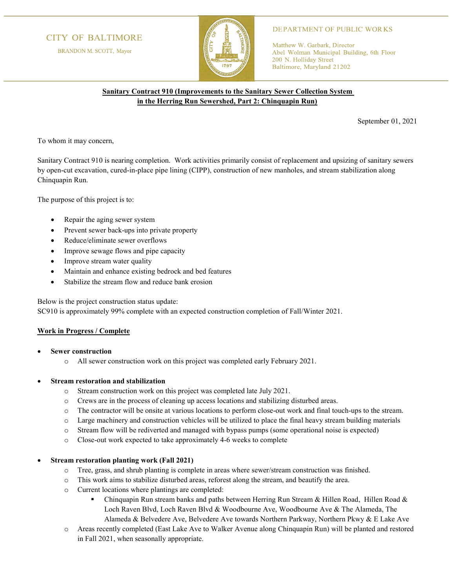# **CITY OF BALTIMORE**

BRANDON M. SCOTT, Mayor



### **DEPARTMENT OF PUBLIC WORKS**

Matthew W. Garbark, Director Abel Wolman Municipal Building, 6th Floor 200 N. Holliday Street Baltimore, Maryland 21202

## **Sanitary Contract 910 (Improvements to the Sanitary Sewer Collection System in the Herring Run Sewershed, Part 2: Chinquapin Run)**

September 01, 2021

To whom it may concern,

Sanitary Contract 910 is nearing completion. Work activities primarily consist of replacement and upsizing of sanitary sewers by open-cut excavation, cured-in-place pipe lining (CIPP), construction of new manholes, and stream stabilization along Chinquapin Run.

The purpose of this project is to:

- Repair the aging sewer system
- Prevent sewer back-ups into private property
- Reduce/eliminate sewer overflows
- Improve sewage flows and pipe capacity
- Improve stream water quality
- Maintain and enhance existing bedrock and bed features
- Stabilize the stream flow and reduce bank erosion

Below is the project construction status update:

SC910 is approximately 99% complete with an expected construction completion of Fall/Winter 2021.

### **Work in Progress / Complete**

- **Sewer construction**
	- o All sewer construction work on this project was completed early February 2021.

### • **Stream restoration and stabilization**

- o Stream construction work on this project was completed late July 2021.
- o Crews are in the process of cleaning up access locations and stabilizing disturbed areas.
- o The contractor will be onsite at various locations to perform close-out work and final touch-ups to the stream.
- o Large machinery and construction vehicles will be utilized to place the final heavy stream building materials
- o Stream flow will be rediverted and managed with bypass pumps (some operational noise is expected)
- o Close-out work expected to take approximately 4-6 weeks to complete

### • **Stream restoration planting work (Fall 2021)**

- o Tree, grass, and shrub planting is complete in areas where sewer/stream construction was finished.
- o This work aims to stabilize disturbed areas, reforest along the stream, and beautify the area.
- o Current locations where plantings are completed:
	- Chinquapin Run stream banks and paths between Herring Run Stream & Hillen Road, Hillen Road & Loch Raven Blvd, Loch Raven Blvd & Woodbourne Ave, Woodbourne Ave & The Alameda, The Alameda & Belvedere Ave, Belvedere Ave towards Northern Parkway, Northern Pkwy & E Lake Ave
- o Areas recently completed (East Lake Ave to Walker Avenue along Chinquapin Run) will be planted and restored in Fall 2021, when seasonally appropriate.